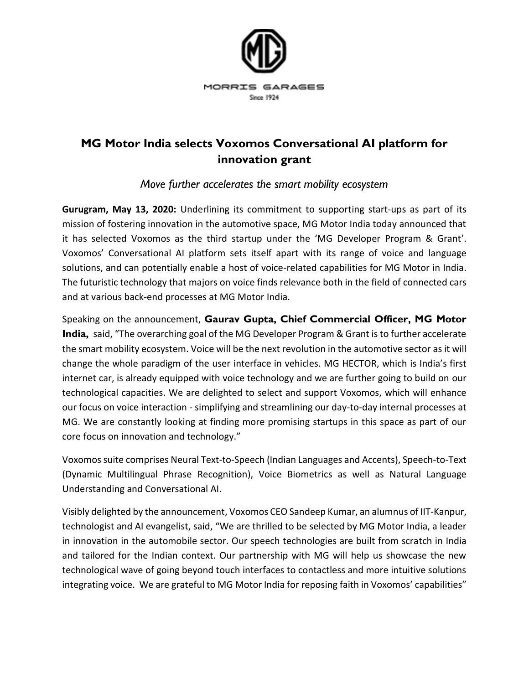

## **MG Motor India selects Voxomos Conversational AI platform for innovation grant**

*Move further accelerates the smart mobility ecosystem* 

**Gurugram, May 13, 2020:** Underlining its commitment to supporting start-ups as part of its mission of fostering innovation in the automotive space, MG Motor India today announced that it has selected Voxomos as the third startup under the 'MG Developer Program & Grant'. Voxomos' Conversational AI platform sets itself apart with its range of voice and language solutions, and can potentially enable a host of voice-related capabilities for MG Motor in India. The futuristic technology that majors on voice finds relevance both in the field of connected cars and at various back-end processes at MG Motor India.

Speaking on the announcement, **Gaurav Gupta, Chief Commercial Officer, MG Motor India,** said, "The overarching goal of the MG Developer Program & Grant is to further accelerate the smart mobility ecosystem. Voice will be the next revolution in the automotive sector as it will change the whole paradigm of the user interface in vehicles. MG HECTOR, which is India's first internet car, is already equipped with voice technology and we are further going to build on our technological capacities. We are delighted to select and support Voxomos, which will enhance our focus on voice interaction - simplifying and streamlining our day-to-day internal processes at MG. We are constantly looking at finding more promising startups in this space as part of our core focus on innovation and technology."

Voxomos suite comprises Neural Text-to-Speech (Indian Languages and Accents), Speech-to-Text (Dynamic Multilingual Phrase Recognition), Voice Biometrics as well as Natural Language Understanding and Conversational AI.

Visibly delighted by the announcement, Voxomos CEO Sandeep Kumar, an alumnus of IIT-Kanpur, technologist and AI evangelist, said, "We are thrilled to be selected by MG Motor India, a leader in innovation in the automobile sector. Our speech technologies are built from scratch in India and tailored for the Indian context. Our partnership with MG will help us showcase the new technological wave of going beyond touch interfaces to contactless and more intuitive solutions integrating voice. We are grateful to MG Motor India for reposing faith in Voxomos' capabilities"